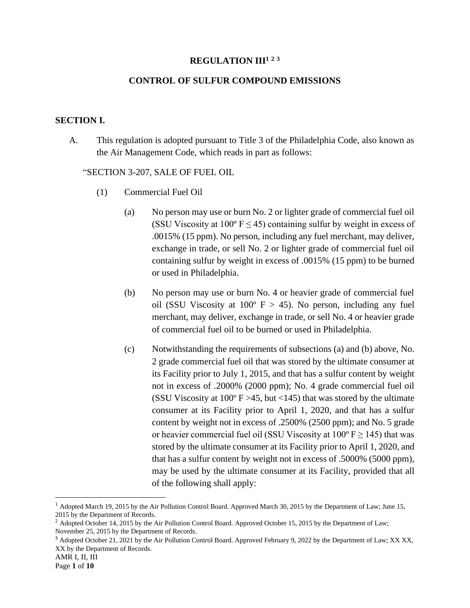### **REGULATION III<sup>1</sup> <sup>2</sup> <sup>3</sup>**

### **CONTROL OF SULFUR COMPOUND EMISSIONS**

#### **SECTION I.**

A. This regulation is adopted pursuant to Title 3 of the Philadelphia Code, also known as the Air Management Code, which reads in part as follows:

#### "SECTION 3-207, SALE OF FUEL OIL

- (1) Commercial Fuel Oil
	- (a) No person may use or burn No. 2 or lighter grade of commercial fuel oil (SSU Viscosity at  $100^{\circ}$  F  $\leq$  45) containing sulfur by weight in excess of .0015% (15 ppm). No person, including any fuel merchant, may deliver, exchange in trade, or sell No. 2 or lighter grade of commercial fuel oil containing sulfur by weight in excess of .0015% (15 ppm) to be burned or used in Philadelphia.
	- (b) No person may use or burn No. 4 or heavier grade of commercial fuel oil (SSU Viscosity at  $100^{\circ}$  F > 45). No person, including any fuel merchant, may deliver, exchange in trade, or sell No. 4 or heavier grade of commercial fuel oil to be burned or used in Philadelphia.
	- (c) Notwithstanding the requirements of subsections (a) and (b) above, No. 2 grade commercial fuel oil that was stored by the ultimate consumer at its Facility prior to July 1, 2015, and that has a sulfur content by weight not in excess of .2000% (2000 ppm); No. 4 grade commercial fuel oil (SSU Viscosity at  $100^{\circ}$  F > 45, but <145) that was stored by the ultimate consumer at its Facility prior to April 1, 2020, and that has a sulfur content by weight not in excess of .2500% (2500 ppm); and No. 5 grade or heavier commercial fuel oil (SSU Viscosity at  $100^{\circ}$  F  $\geq$  145) that was stored by the ultimate consumer at its Facility prior to April 1, 2020, and that has a sulfur content by weight not in excess of .5000% (5000 ppm), may be used by the ultimate consumer at its Facility, provided that all of the following shall apply:

<sup>&</sup>lt;sup>1</sup> Adopted March 19, 2015 by the Air Pollution Control Board. Approved March 30, 2015 by the Department of Law; June 15, 2015 by the Department of Records.

<sup>&</sup>lt;sup>2</sup> Adopted October 14, 2015 by the Air Pollution Control Board. Approved October 15, 2015 by the Department of Law; November 25, 2015 by the Department of Records.

<sup>&</sup>lt;sup>3</sup> Adopted October 21, 2021 by the Air Pollution Control Board. Approved February 9, 2022 by the Department of Law; XX XX, XX by the Department of Records.

AMR I, II, III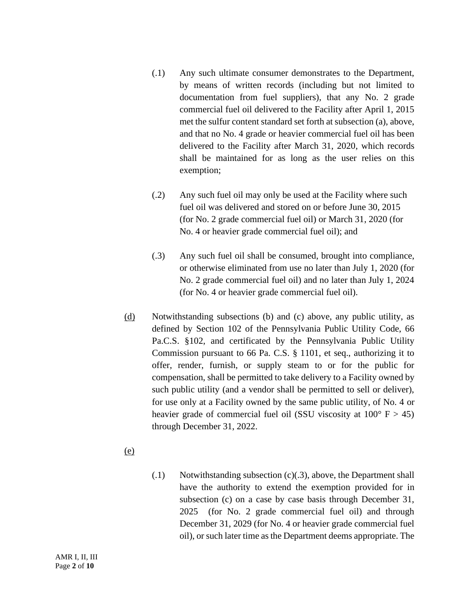- (.1) Any such ultimate consumer demonstrates to the Department, by means of written records (including but not limited to documentation from fuel suppliers), that any No. 2 grade commercial fuel oil delivered to the Facility after April 1, 2015 met the sulfur content standard set forth at subsection (a), above, and that no No. 4 grade or heavier commercial fuel oil has been delivered to the Facility after March 31, 2020, which records shall be maintained for as long as the user relies on this exemption;
- (.2) Any such fuel oil may only be used at the Facility where such fuel oil was delivered and stored on or before June 30, 2015 (for No. 2 grade commercial fuel oil) or March 31, 2020 (for No. 4 or heavier grade commercial fuel oil); and
- (.3) Any such fuel oil shall be consumed, brought into compliance, or otherwise eliminated from use no later than July 1, 2020 (for No. 2 grade commercial fuel oil) and no later than July 1, 2024 (for No. 4 or heavier grade commercial fuel oil).
- (d) Notwithstanding subsections (b) and (c) above, any public utility, as defined by Section 102 of the Pennsylvania Public Utility Code, 66 Pa.C.S. §102, and certificated by the Pennsylvania Public Utility Commission pursuant to 66 Pa. C.S. § 1101, et seq., authorizing it to offer, render, furnish, or supply steam to or for the public for compensation, shall be permitted to take delivery to a Facility owned by such public utility (and a vendor shall be permitted to sell or deliver), for use only at a Facility owned by the same public utility, of No. 4 or heavier grade of commercial fuel oil (SSU viscosity at  $100^{\circ}$  F  $> 45$ ) through December 31, 2022.
- (e)
- (.1) Notwithstanding subsection (c)(.3), above, the Department shall have the authority to extend the exemption provided for in subsection (c) on a case by case basis through December 31, 2025 (for No. 2 grade commercial fuel oil) and through December 31, 2029 (for No. 4 or heavier grade commercial fuel oil), or such later time as the Department deems appropriate. The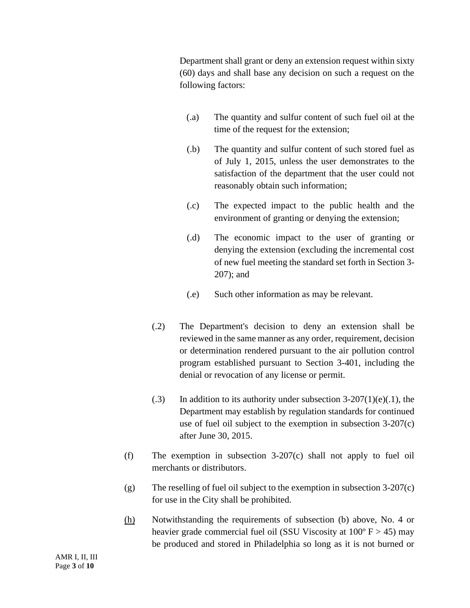Department shall grant or deny an extension request within sixty (60) days and shall base any decision on such a request on the following factors:

- (.a) The quantity and sulfur content of such fuel oil at the time of the request for the extension;
- (.b) The quantity and sulfur content of such stored fuel as of July 1, 2015, unless the user demonstrates to the satisfaction of the department that the user could not reasonably obtain such information;
- (.c) The expected impact to the public health and the environment of granting or denying the extension;
- (.d) The economic impact to the user of granting or denying the extension (excluding the incremental cost of new fuel meeting the standard set forth in Section 3- 207); and
- (.e) Such other information as may be relevant.
- (.2) The Department's decision to deny an extension shall be reviewed in the same manner as any order, requirement, decision or determination rendered pursuant to the air pollution control program established pursuant to Section 3-401, including the denial or revocation of any license or permit.
- $(0.3)$  In addition to its authority under subsection 3-207(1)(e)(.1), the Department may establish by regulation standards for continued use of fuel oil subject to the exemption in subsection 3-207(c) after June 30, 2015.
- (f) The exemption in subsection 3-207(c) shall not apply to fuel oil merchants or distributors.
- (g) The reselling of fuel oil subject to the exemption in subsection 3-207(c) for use in the City shall be prohibited.
- (h) Notwithstanding the requirements of subsection (b) above, No. 4 or heavier grade commercial fuel oil (SSU Viscosity at  $100^{\circ}$  F  $> 45$ ) may be produced and stored in Philadelphia so long as it is not burned or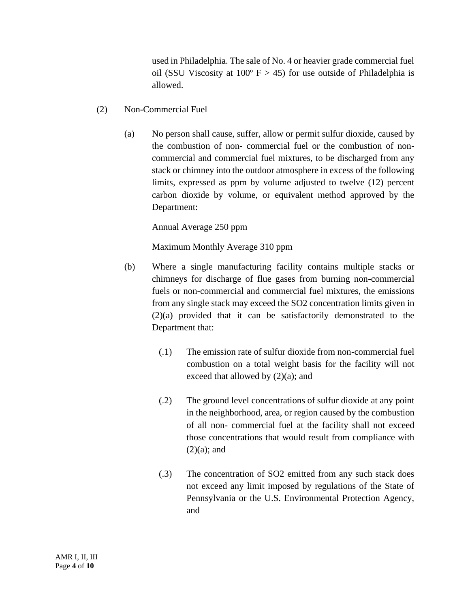used in Philadelphia. The sale of No. 4 or heavier grade commercial fuel oil (SSU Viscosity at  $100^{\circ}$  F > 45) for use outside of Philadelphia is allowed.

- (2) Non-Commercial Fuel
	- (a) No person shall cause, suffer, allow or permit sulfur dioxide, caused by the combustion of non- commercial fuel or the combustion of noncommercial and commercial fuel mixtures, to be discharged from any stack or chimney into the outdoor atmosphere in excess of the following limits, expressed as ppm by volume adjusted to twelve (12) percent carbon dioxide by volume, or equivalent method approved by the Department:

Annual Average 250 ppm

Maximum Monthly Average 310 ppm

- (b) Where a single manufacturing facility contains multiple stacks or chimneys for discharge of flue gases from burning non-commercial fuels or non-commercial and commercial fuel mixtures, the emissions from any single stack may exceed the SO2 concentration limits given in (2)(a) provided that it can be satisfactorily demonstrated to the Department that:
	- (.1) The emission rate of sulfur dioxide from non-commercial fuel combustion on a total weight basis for the facility will not exceed that allowed by (2)(a); and
	- (.2) The ground level concentrations of sulfur dioxide at any point in the neighborhood, area, or region caused by the combustion of all non- commercial fuel at the facility shall not exceed those concentrations that would result from compliance with  $(2)(a)$ ; and
	- (.3) The concentration of SO2 emitted from any such stack does not exceed any limit imposed by regulations of the State of Pennsylvania or the U.S. Environmental Protection Agency, and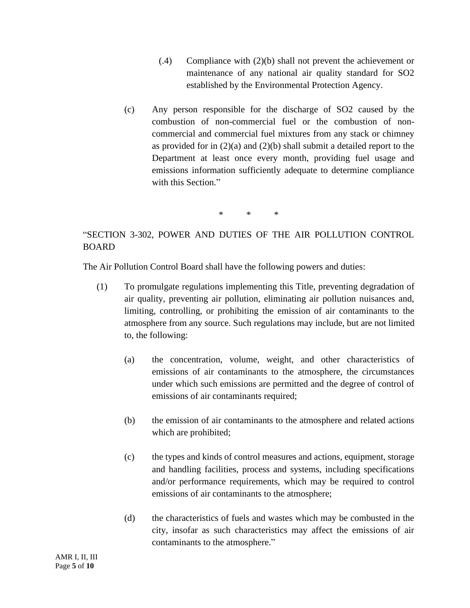- (.4) Compliance with (2)(b) shall not prevent the achievement or maintenance of any national air quality standard for SO2 established by the Environmental Protection Agency.
- (c) Any person responsible for the discharge of SO2 caused by the combustion of non-commercial fuel or the combustion of noncommercial and commercial fuel mixtures from any stack or chimney as provided for in  $(2)(a)$  and  $(2)(b)$  shall submit a detailed report to the Department at least once every month, providing fuel usage and emissions information sufficiently adequate to determine compliance with this Section."

\* \* \*

# "SECTION 3-302, POWER AND DUTIES OF THE AIR POLLUTION CONTROL BOARD

The Air Pollution Control Board shall have the following powers and duties:

- (1) To promulgate regulations implementing this Title, preventing degradation of air quality, preventing air pollution, eliminating air pollution nuisances and, limiting, controlling, or prohibiting the emission of air contaminants to the atmosphere from any source. Such regulations may include, but are not limited to, the following:
	- (a) the concentration, volume, weight, and other characteristics of emissions of air contaminants to the atmosphere, the circumstances under which such emissions are permitted and the degree of control of emissions of air contaminants required;
	- (b) the emission of air contaminants to the atmosphere and related actions which are prohibited;
	- (c) the types and kinds of control measures and actions, equipment, storage and handling facilities, process and systems, including specifications and/or performance requirements, which may be required to control emissions of air contaminants to the atmosphere;
	- (d) the characteristics of fuels and wastes which may be combusted in the city, insofar as such characteristics may affect the emissions of air contaminants to the atmosphere."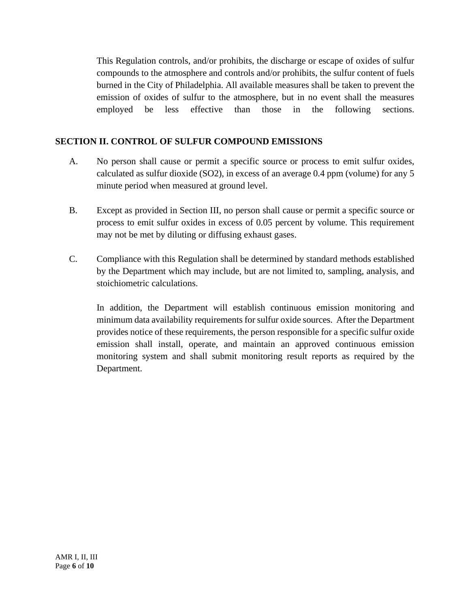This Regulation controls, and/or prohibits, the discharge or escape of oxides of sulfur compounds to the atmosphere and controls and/or prohibits, the sulfur content of fuels burned in the City of Philadelphia. All available measures shall be taken to prevent the emission of oxides of sulfur to the atmosphere, but in no event shall the measures employed be less effective than those in the following sections.

## **SECTION II. CONTROL OF SULFUR COMPOUND EMISSIONS**

- A. No person shall cause or permit a specific source or process to emit sulfur oxides, calculated as sulfur dioxide (SO2), in excess of an average 0.4 ppm (volume) for any 5 minute period when measured at ground level.
- B. Except as provided in Section III, no person shall cause or permit a specific source or process to emit sulfur oxides in excess of 0.05 percent by volume. This requirement may not be met by diluting or diffusing exhaust gases.
- C. Compliance with this Regulation shall be determined by standard methods established by the Department which may include, but are not limited to, sampling, analysis, and stoichiometric calculations.

In addition, the Department will establish continuous emission monitoring and minimum data availability requirements for sulfur oxide sources. After the Department provides notice of these requirements, the person responsible for a specific sulfur oxide emission shall install, operate, and maintain an approved continuous emission monitoring system and shall submit monitoring result reports as required by the Department.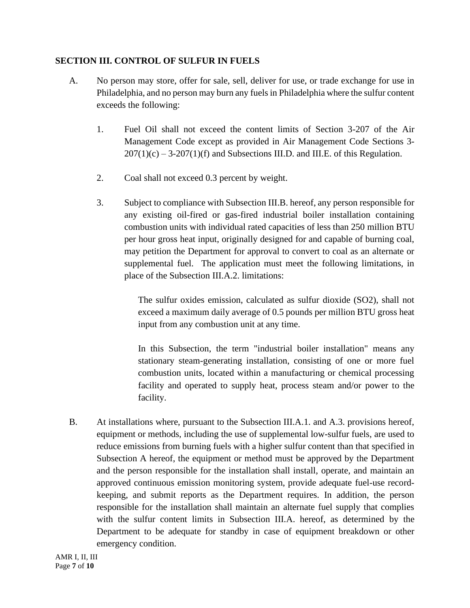### **SECTION III. CONTROL OF SULFUR IN FUELS**

- A. No person may store, offer for sale, sell, deliver for use, or trade exchange for use in Philadelphia, and no person may burn any fuels in Philadelphia where the sulfur content exceeds the following:
	- 1. Fuel Oil shall not exceed the content limits of Section 3-207 of the Air Management Code except as provided in Air Management Code Sections 3-  $207(1)(c) - 3-207(1)(f)$  and Subsections III.D. and III.E. of this Regulation.
	- 2. Coal shall not exceed 0.3 percent by weight.
	- 3. Subject to compliance with Subsection III.B. hereof, any person responsible for any existing oil-fired or gas-fired industrial boiler installation containing combustion units with individual rated capacities of less than 250 million BTU per hour gross heat input, originally designed for and capable of burning coal, may petition the Department for approval to convert to coal as an alternate or supplemental fuel. The application must meet the following limitations, in place of the Subsection III.A.2. limitations:

The sulfur oxides emission, calculated as sulfur dioxide (SO2), shall not exceed a maximum daily average of 0.5 pounds per million BTU gross heat input from any combustion unit at any time.

In this Subsection, the term "industrial boiler installation" means any stationary steam-generating installation, consisting of one or more fuel combustion units, located within a manufacturing or chemical processing facility and operated to supply heat, process steam and/or power to the facility.

B. At installations where, pursuant to the Subsection III.A.1. and A.3. provisions hereof, equipment or methods, including the use of supplemental low-sulfur fuels, are used to reduce emissions from burning fuels with a higher sulfur content than that specified in Subsection A hereof, the equipment or method must be approved by the Department and the person responsible for the installation shall install, operate, and maintain an approved continuous emission monitoring system, provide adequate fuel-use recordkeeping, and submit reports as the Department requires. In addition, the person responsible for the installation shall maintain an alternate fuel supply that complies with the sulfur content limits in Subsection III.A. hereof, as determined by the Department to be adequate for standby in case of equipment breakdown or other emergency condition.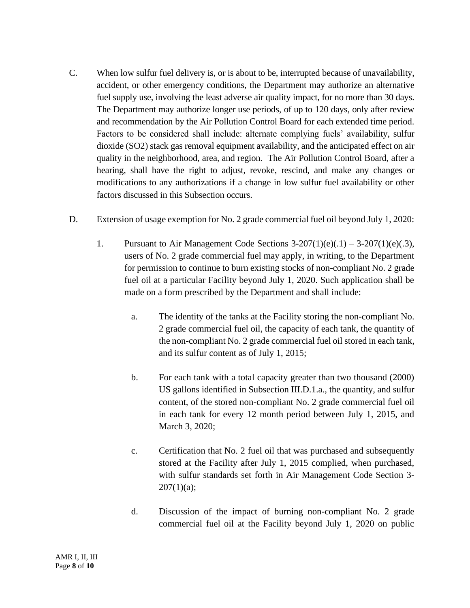- C. When low sulfur fuel delivery is, or is about to be, interrupted because of unavailability, accident, or other emergency conditions, the Department may authorize an alternative fuel supply use, involving the least adverse air quality impact, for no more than 30 days. The Department may authorize longer use periods, of up to 120 days, only after review and recommendation by the Air Pollution Control Board for each extended time period. Factors to be considered shall include: alternate complying fuels' availability, sulfur dioxide (SO2) stack gas removal equipment availability, and the anticipated effect on air quality in the neighborhood, area, and region. The Air Pollution Control Board, after a hearing, shall have the right to adjust, revoke, rescind, and make any changes or modifications to any authorizations if a change in low sulfur fuel availability or other factors discussed in this Subsection occurs.
- D. Extension of usage exemption for No. 2 grade commercial fuel oil beyond July 1, 2020:
	- 1. Pursuant to Air Management Code Sections  $3-207(1)(e)(.1) 3-207(1)(e)(.3)$ , users of No. 2 grade commercial fuel may apply, in writing, to the Department for permission to continue to burn existing stocks of non-compliant No. 2 grade fuel oil at a particular Facility beyond July 1, 2020. Such application shall be made on a form prescribed by the Department and shall include:
		- a. The identity of the tanks at the Facility storing the non-compliant No. 2 grade commercial fuel oil, the capacity of each tank, the quantity of the non-compliant No. 2 grade commercial fuel oil stored in each tank, and its sulfur content as of July 1, 2015;
		- b. For each tank with a total capacity greater than two thousand (2000) US gallons identified in Subsection III.D.1.a., the quantity, and sulfur content, of the stored non-compliant No. 2 grade commercial fuel oil in each tank for every 12 month period between July 1, 2015, and March 3, 2020;
		- c. Certification that No. 2 fuel oil that was purchased and subsequently stored at the Facility after July 1, 2015 complied, when purchased, with sulfur standards set forth in Air Management Code Section 3-  $207(1)(a);$
		- d. Discussion of the impact of burning non-compliant No. 2 grade commercial fuel oil at the Facility beyond July 1, 2020 on public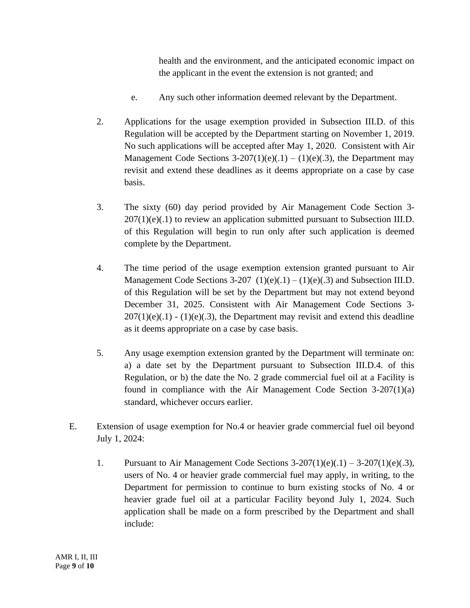health and the environment, and the anticipated economic impact on the applicant in the event the extension is not granted; and

- e. Any such other information deemed relevant by the Department.
- 2. Applications for the usage exemption provided in Subsection III.D. of this Regulation will be accepted by the Department starting on November 1, 2019. No such applications will be accepted after May 1, 2020. Consistent with Air Management Code Sections  $3-207(1)(e)(.1) - (1)(e)(.3)$ , the Department may revisit and extend these deadlines as it deems appropriate on a case by case basis.
- 3. The sixty (60) day period provided by Air Management Code Section 3-  $207(1)(e)(.1)$  to review an application submitted pursuant to Subsection III.D. of this Regulation will begin to run only after such application is deemed complete by the Department.
- 4. The time period of the usage exemption extension granted pursuant to Air Management Code Sections 3-207  $(1)(e)(.1) - (1)(e)(.3)$  and Subsection III.D. of this Regulation will be set by the Department but may not extend beyond December 31, 2025. Consistent with Air Management Code Sections 3-  $207(1)(e)(.1) - (1)(e)(.3)$ , the Department may revisit and extend this deadline as it deems appropriate on a case by case basis.
- 5. Any usage exemption extension granted by the Department will terminate on: a) a date set by the Department pursuant to Subsection III.D.4. of this Regulation, or b) the date the No. 2 grade commercial fuel oil at a Facility is found in compliance with the Air Management Code Section 3-207(1)(a) standard, whichever occurs earlier.
- E. Extension of usage exemption for No.4 or heavier grade commercial fuel oil beyond July 1, 2024:
	- 1. Pursuant to Air Management Code Sections  $3-207(1)(e)(.1) 3-207(1)(e)(.3)$ , users of No. 4 or heavier grade commercial fuel may apply, in writing, to the Department for permission to continue to burn existing stocks of No. 4 or heavier grade fuel oil at a particular Facility beyond July 1, 2024. Such application shall be made on a form prescribed by the Department and shall include: